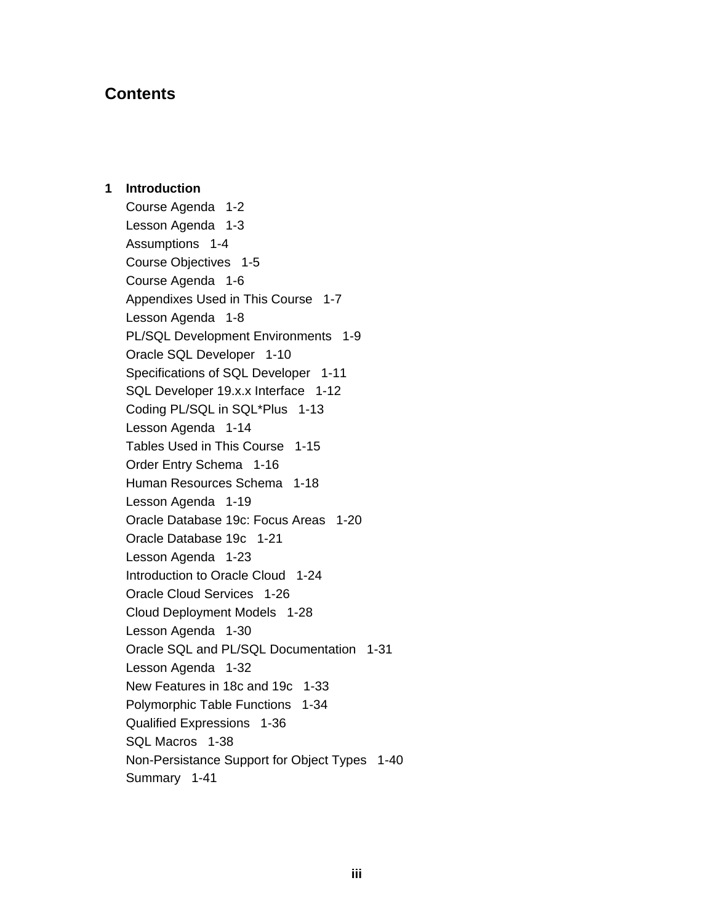# **Contents**

1 Introduction Course Agenda 1-2 Lesson Agenda 1-3 Assumptions 1-4 Course Objectives 1-5 Course Agenda 1-6 Appendixes Used in This Course 1-7 Lesson Agenda 1-8 PL/SQL Development Environments 1-9 Oracle SQL Developer 1-10 Specifications of SQL Developer 1-11 SQL Developer 19.x.x Interface 1-12 Coding PL/SQL in SQL\*Plus 1-13 Lesson Agenda 1-14 Tables Used in This Course 1-15 Order Entry Schema 1-16 Human Resources Schema 1-18 Lesson Agenda 1-19 Oracle Database 19c: Focus Areas 1-20 Oracle Database 19c 1-21 Lesson Agenda 1-23 Introduction to Oracle Cloud 1-24 Oracle Cloud Services 1-26 Cloud Deployment Models 1-28 Lesson Agenda 1-30 Oracle SQL and PL/SQL Documentation 1-31 Lesson Agenda 1-32 New Features in 18c and 19c 1-33 Polymorphic Table Functions 1-34 Qualified Expressions 1-36 SQL Macros 1-38 Non-Persistance Support for Object Types 1-40 Summary 1-41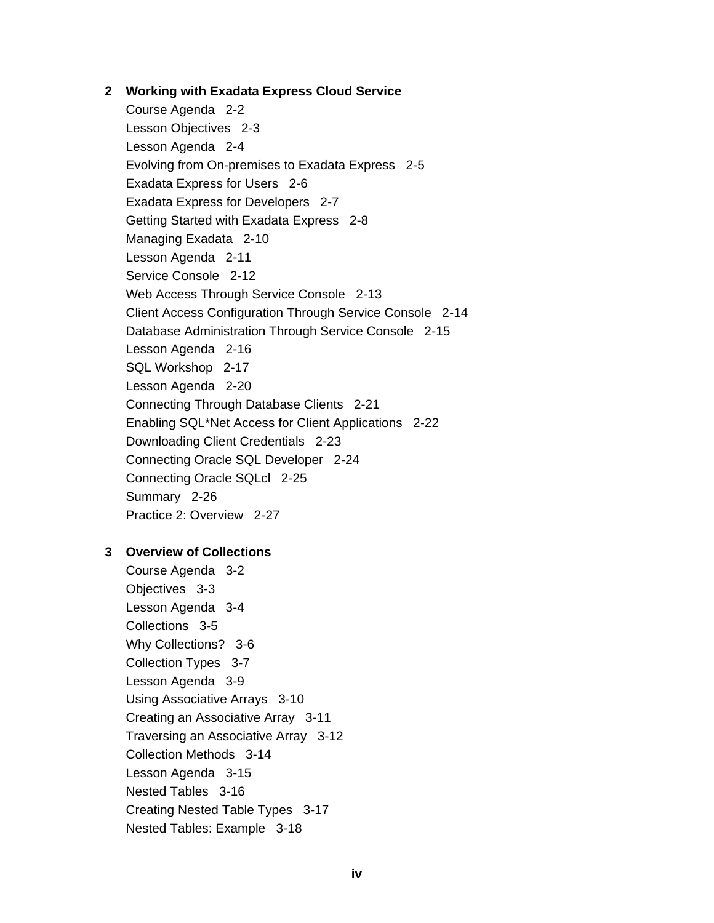## 2 Working with Exadata Express Cloud Service

Course Agenda 2-2 Lesson Objectives 2-3 Lesson Agenda 2-4 Evolving from On-premises to Exadata Express 2-5 Exadata Express for Users 2-6 Exadata Express for Developers 2-7 Getting Started with Exadata Express 2-8 Managing Exadata 2-10 Lesson Agenda 2-11 Service Console 2-12 Web Access Through Service Console 2-13 Client Access Configuration Through Service Console 2-14 Database Administration Through Service Console 2-15 Lesson Agenda 2-16 SQL Workshop 2-17 Lesson Agenda 2-20 Connecting Through Database Clients 2-21 Enabling SQL\*Net Access for Client Applications 2-22 Downloading Client Credentials 2-23 Connecting Oracle SQL Developer 2-24 Connecting Oracle SQLcl 2-25 Summary 2-26 Practice 2: Overview 2-27

# 3 Overview of Collections

Course Agenda 3-2 Objectives 3-3 Lesson Agenda 3-4 Collections 3-5 Why Collections? 3-6 Collection Types 3-7 Lesson Agenda 3-9 Using Associative Arrays 3-10 Creating an Associative Array 3-11 Traversing an Associative Array 3-12 Collection Methods 3-14 Lesson Agenda 3-15 Nested Tables 3-16 Creating Nested Table Types 3-17 Nested Tables: Example 3-18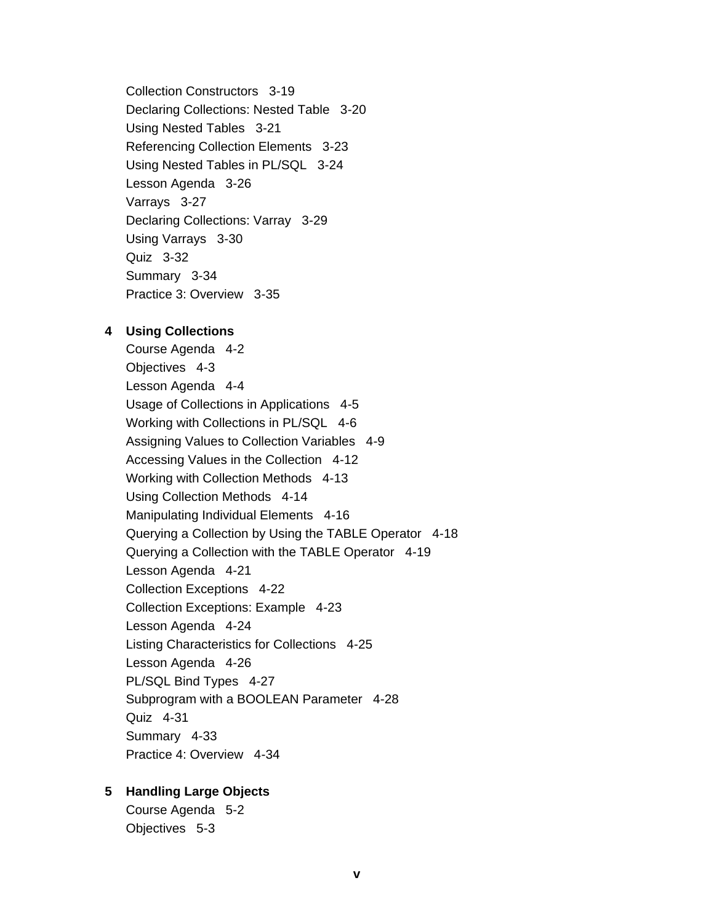Collection Constructors 3-19 Declaring Collections: Nested Table 3-20 Using Nested Tables 3-21 Referencing Collection Elements 3-23 Using Nested Tables in PL/SQL 3-24 Lesson Agenda 3-26 Varrays 3-27 Declaring Collections: Varray 3-29 Using Varrays 3-30 Quiz 3-32 Summary 3-34 Practice 3: Overview 3-35

#### 4 Using Collections

Course Agenda 4-2 Objectives 4-3 Lesson Agenda 4-4 Usage of Collections in Applications 4-5 Working with Collections in PL/SQL 4-6 Assigning Values to Collection Variables 4-9 Accessing Values in the Collection 4-12 Working with Collection Methods 4-13 Using Collection Methods 4-14 Manipulating Individual Elements 4-16 Querying a Collection by Using the TABLE Operator 4-18 Querying a Collection with the TABLE Operator 4-19 Lesson Agenda 4-21 Collection Exceptions 4-22 Collection Exceptions: Example 4-23 Lesson Agenda 4-24 Listing Characteristics for Collections 4-25 Lesson Agenda 4-26 PL/SQL Bind Types 4-27 Subprogram with a BOOLEAN Parameter 4-28 Quiz 4-31 Summary 4-33 Practice 4: Overview 4-34

# 5 Handling Large Objects

Course Agenda 5-2 Objectives 5-3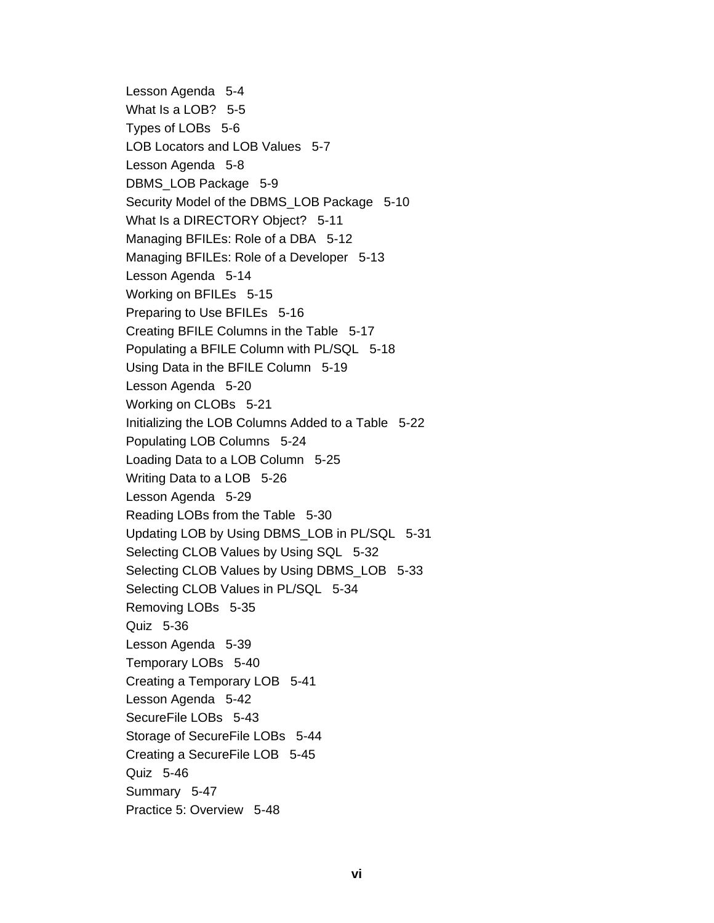Lesson Agenda 5-4 What Is a LOB? 5-5 Types of LOBs 5-6 LOB Locators and LOB Values 5-7 Lesson Agenda 5-8 DBMS LOB Package 5-9 Security Model of the DBMS LOB Package 5-10 What Is a DIRECTORY Object? 5-11 Managing BFILEs: Role of a DBA 5-12 Managing BFILEs: Role of a Developer 5-13 Lesson Agenda 5-14 Working on BFILEs 5-15 Preparing to Use BFILEs 5-16 Creating BFILE Columns in the Table 5-17 Populating a BFILE Column with PL/SQL 5-18 Using Data in the BFILE Column 5-19 Lesson Agenda 5-20 Working on CLOBs 5-21 Initializing the LOB Columns Added to a Table 5-22 Populating LOB Columns 5-24 Loading Data to a LOB Column 5-25 Writing Data to a LOB 5-26 Lesson Agenda 5-29 Reading LOBs from the Table 5-30 Updating LOB by Using DBMS\_LOB in PL/SQL 5-31 Selecting CLOB Values by Using SQL 5-32 Selecting CLOB Values by Using DBMS\_LOB 5-33 Selecting CLOB Values in PL/SQL 5-34 Removing LOBs 5-35 Quiz 5-36 Lesson Agenda 5-39 Temporary LOBs 5-40 Creating a Temporary LOB 5-41 Lesson Agenda 5-42 SecureFile LOBs 5-43 Storage of SecureFile LOBs 5-44 Creating a SecureFile LOB 5-45 Quiz 5-46 Summary 5-47 Practice 5: Overview 5-48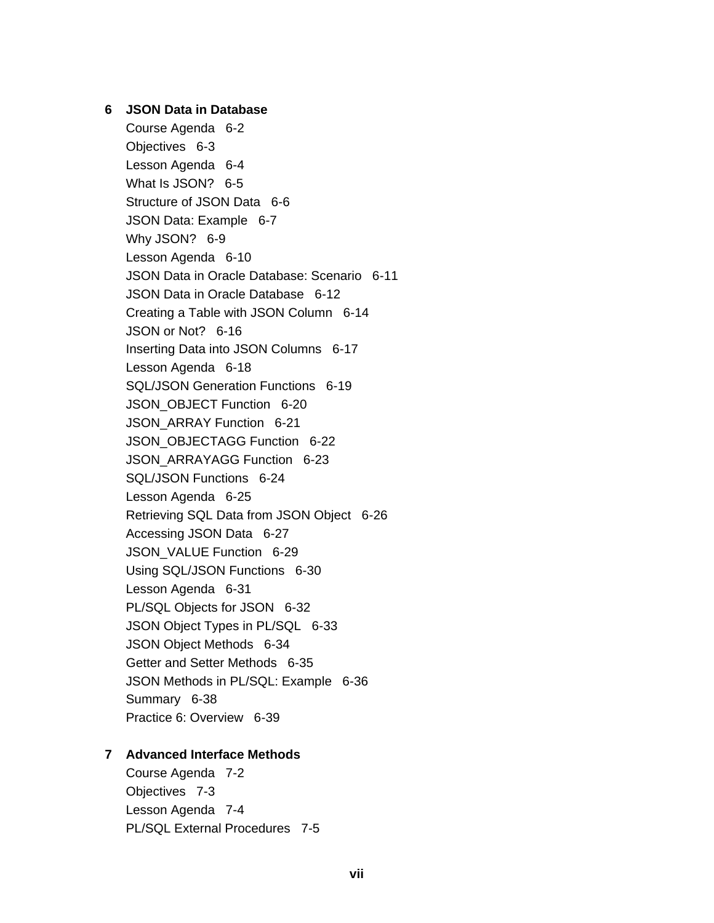## 6 JSON Data in Database

Course Agenda 6-2 Objectives 6-3 Lesson Agenda 6-4 What Is JSON? 6-5 Structure of JSON Data 6-6 JSON Data: Example 6-7 Why JSON? 6-9 Lesson Agenda 6-10 JSON Data in Oracle Database: Scenario 6-11 JSON Data in Oracle Database 6-12 Creating a Table with JSON Column 6-14 JSON or Not? 6-16 Inserting Data into JSON Columns 6-17 Lesson Agenda 6-18 SQL/JSON Generation Functions 6-19 JSON OBJECT Function 6-20 JSON ARRAY Function 6-21 JSON OBJECTAGG Function 6-22 JSON ARRAYAGG Function 6-23 SQL/JSON Functions 6-24 Lesson Agenda 6-25 Retrieving SQL Data from JSON Object 6-26 Accessing JSON Data 6-27 JSON\_VALUE Function 6-29 Using SQL/JSON Functions 6-30 Lesson Agenda 6-31 PL/SQL Objects for JSON 6-32 JSON Object Types in PL/SQL 6-33 JSON Object Methods 6-34 Getter and Setter Methods 6-35 JSON Methods in PL/SQL: Example 6-36 Summary 6-38 Practice 6: Overview 6-39

#### 7 Advanced Interface Methods

Course Agenda 7-2 Objectives 7-3 Lesson Agenda 7-4 PL/SQL External Procedures 7-5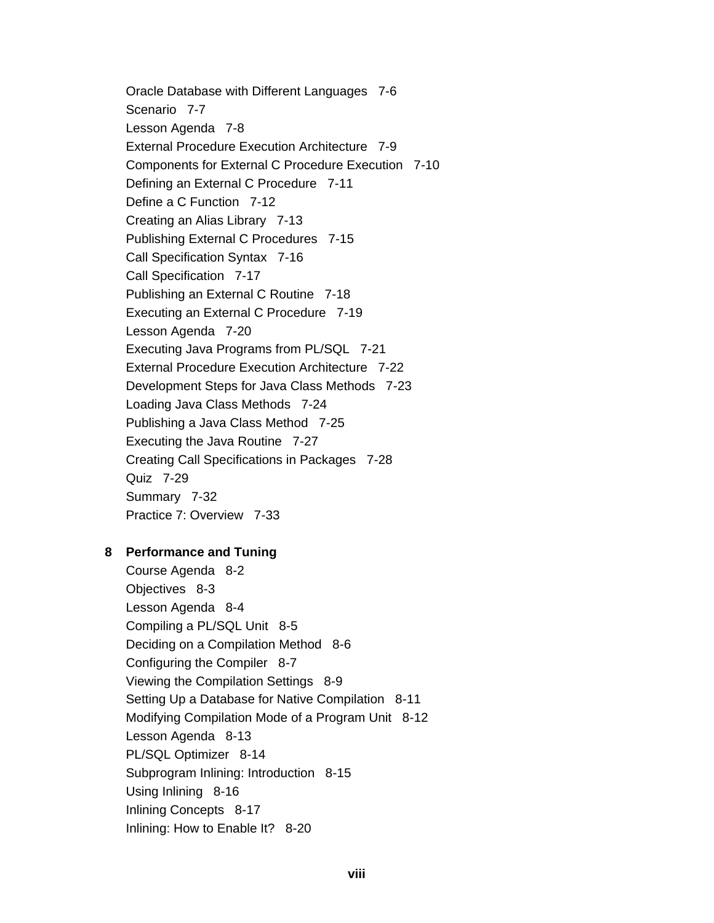Oracle Database with Different Languages 7-6 Scenario 7-7 Lesson Agenda 7-8 External Procedure Execution Architecture 7-9 Components for External C Procedure Execution 7-10 Defining an External C Procedure 7-11 Define a C Function 7-12 Creating an Alias Library 7-13 Publishing External C Procedures 7-15 Call Specification Syntax 7-16 Call Specification 7-17 Publishing an External C Routine 7-18 Executing an External C Procedure 7-19 Lesson Agenda 7-20 Executing Java Programs from PL/SQL 7-21 External Procedure Execution Architecture 7-22 Development Steps for Java Class Methods 7-23 Loading Java Class Methods 7-24 Publishing a Java Class Method 7-25 Executing the Java Routine 7-27 Creating Call Specifications in Packages 7-28 Quiz 7-29 Summary 7-32 Practice 7: Overview 7-33

# 8 Performance and Tuning

Course Agenda 8-2 Objectives 8-3 Lesson Agenda 8-4 Compiling a PL/SQL Unit 8-5 Deciding on a Compilation Method 8-6 Configuring the Compiler 8-7 Viewing the Compilation Settings 8-9 Setting Up a Database for Native Compilation 8-11 Modifying Compilation Mode of a Program Unit 8-12 Lesson Agenda 8-13 PL/SQL Optimizer 8-14 Subprogram Inlining: Introduction 8-15 Using Inlining 8-16 Inlining Concepts 8-17 Inlining: How to Enable It? 8-20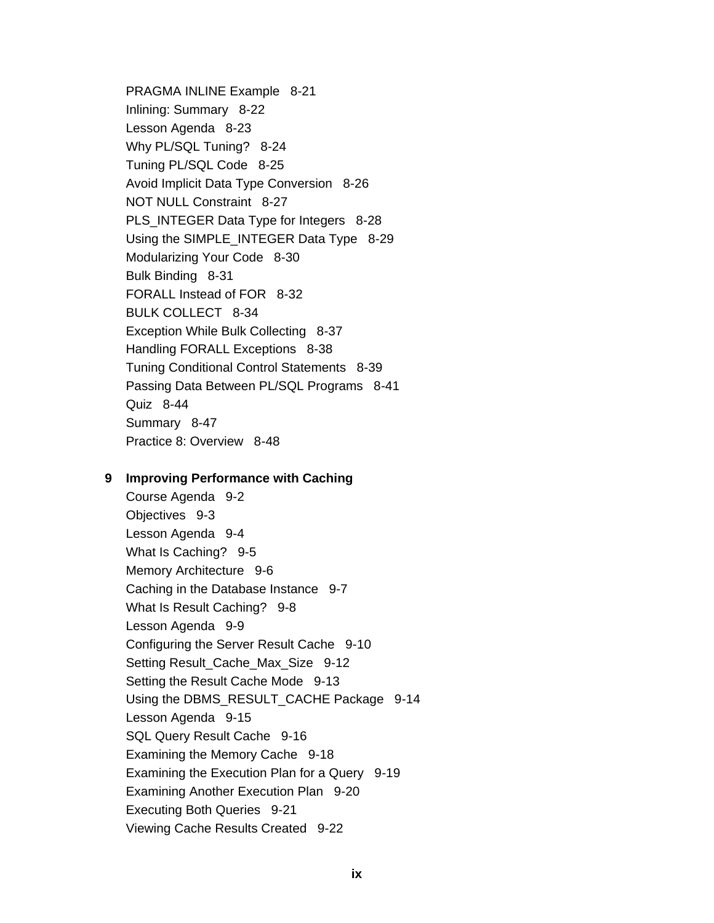PRAGMA INLINE Example 8-21 Inlining: Summary 8-22 Lesson Agenda 8-23 Why PL/SQL Tuning? 8-24 Tuning PL/SQL Code 8-25 Avoid Implicit Data Type Conversion 8-26 NOT NULL Constraint 8-27 PLS INTEGER Data Type for Integers 8-28 Using the SIMPLE INTEGER Data Type 8-29 Modularizing Your Code 8-30 Bulk Binding 8-31 FORALL Instead of FOR 8-32 BULK COLLECT 8-34 Exception While Bulk Collecting 8-37 Handling FORALL Exceptions 8-38 Tuning Conditional Control Statements 8-39 Passing Data Between PL/SQL Programs 8-41 Quiz 8-44 Summary 8-47 Practice 8: Overview 8-48

#### 9 Improving Performance with Caching

Course Agenda 9-2 Objectives 9-3 Lesson Agenda 9-4 What Is Caching? 9-5 Memory Architecture 9-6 Caching in the Database Instance 9-7 What Is Result Caching? 9-8 Lesson Agenda 9-9 Configuring the Server Result Cache 9-10 Setting Result Cache Max Size 9-12 Setting the Result Cache Mode 9-13 Using the DBMS RESULT CACHE Package 9-14 Lesson Agenda 9-15 SQL Query Result Cache 9-16 Examining the Memory Cache 9-18 Examining the Execution Plan for a Query 9-19 Examining Another Execution Plan 9-20 **Executing Both Queries** 9-21 Viewing Cache Results Created 9-22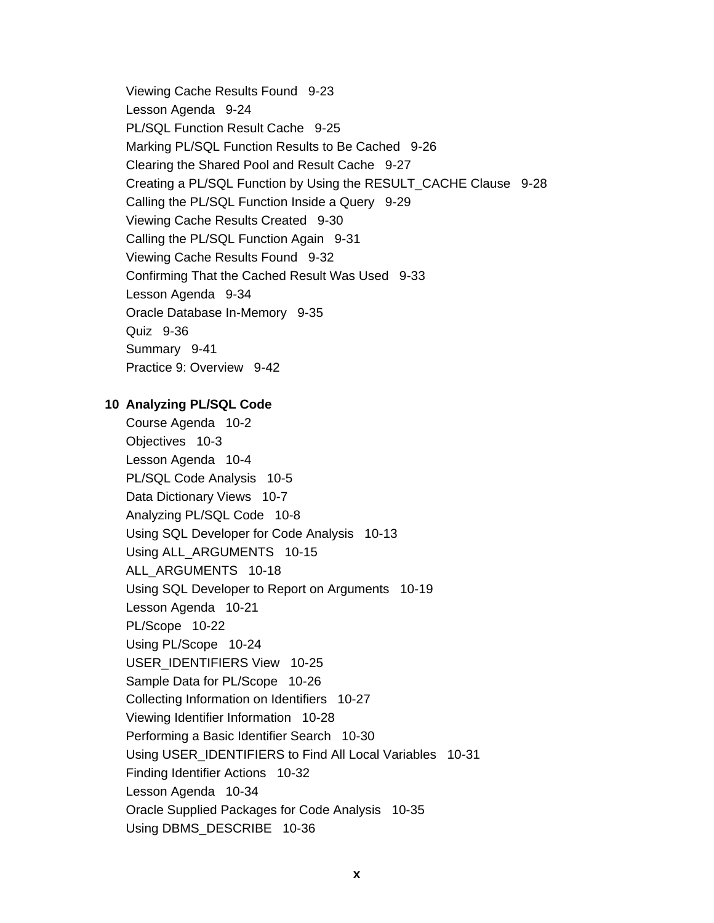Viewing Cache Results Found 9-23 Lesson Agenda 9-24 PL/SQL Function Result Cache 9-25 Marking PL/SQL Function Results to Be Cached 9-26 Clearing the Shared Pool and Result Cache 9-27 Creating a PL/SQL Function by Using the RESULT CACHE Clause 9-28 Calling the PL/SQL Function Inside a Query 9-29 Viewing Cache Results Created 9-30 Calling the PL/SQL Function Again 9-31 Viewing Cache Results Found 9-32 Confirming That the Cached Result Was Used 9-33 Lesson Agenda 9-34 Oracle Database In-Memory 9-35 Quiz 9-36 Summary 9-41 Practice 9: Overview 9-42

## 10 Analyzing PL/SQL Code

Course Agenda 10-2 Objectives 10-3 Lesson Agenda 10-4 PL/SQL Code Analysis 10-5 Data Dictionary Views 10-7 Analyzing PL/SQL Code 10-8 Using SQL Developer for Code Analysis 10-13 Using ALL\_ARGUMENTS 10-15 ALL ARGUMENTS 10-18 Using SQL Developer to Report on Arguments 10-19 Lesson Agenda 10-21 PL/Scope 10-22 Using PL/Scope 10-24 USER IDENTIFIERS View 10-25 Sample Data for PL/Scope 10-26 Collecting Information on Identifiers 10-27 Viewing Identifier Information 10-28 Performing a Basic Identifier Search 10-30 Using USER\_IDENTIFIERS to Find All Local Variables 10-31 Finding Identifier Actions 10-32 Lesson Agenda 10-34 Oracle Supplied Packages for Code Analysis 10-35 Using DBMS DESCRIBE 10-36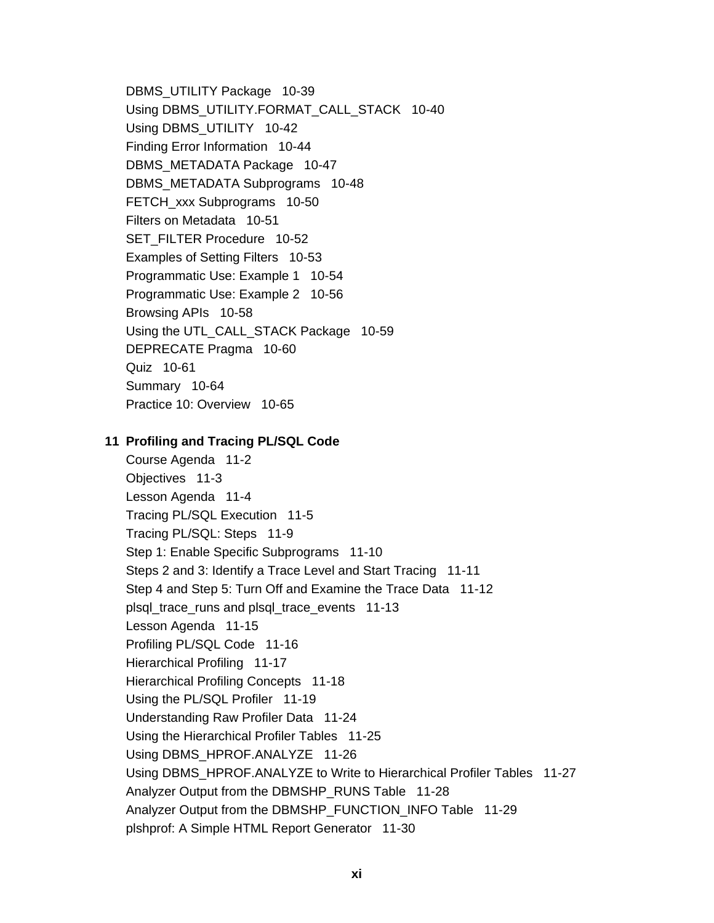DBMS\_UTILITY Package 10-39 Using DBMS\_UTILITY.FORMAT\_CALL\_STACK 10-40 Using DBMS\_UTILITY 10-42 Finding Error Information 10-44 DBMS METADATA Package 10-47 DBMS METADATA Subprograms 10-48 FETCH xxx Subprograms 10-50 Filters on Metadata 10-51 SET FILTER Procedure 10-52 Examples of Setting Filters 10-53 Programmatic Use: Example 1 10-54 Programmatic Use: Example 2 10-56 Browsing APIs 10-58 Using the UTL\_CALL\_STACK Package 10-59 DEPRECATE Pragma 10-60 Quiz 10-61 Summary 10-64 Practice 10: Overview 10-65

# 11 Profiling and Tracing PL/SQL Code

Course Agenda 11-2 Objectives 11-3 Lesson Agenda 11-4 Tracing PL/SQL Execution 11-5 Tracing PL/SQL: Steps 11-9 Step 1: Enable Specific Subprograms 11-10 Steps 2 and 3: Identify a Trace Level and Start Tracing 11-11 Step 4 and Step 5: Turn Off and Examine the Trace Data 11-12 plsql\_trace\_runs and plsql\_trace\_events 11-13 Lesson Agenda 11-15 Profiling PL/SQL Code 11-16 Hierarchical Profiling 11-17 Hierarchical Profiling Concepts 11-18 Using the PL/SQL Profiler 11-19 Understanding Raw Profiler Data 11-24 Using the Hierarchical Profiler Tables 11-25 Using DBMS\_HPROF.ANALYZE 11-26 Using DBMS\_HPROF.ANALYZE to Write to Hierarchical Profiler Tables 11-27 Analyzer Output from the DBMSHP RUNS Table 11-28 Analyzer Output from the DBMSHP FUNCTION INFO Table 11-29 plshprof: A Simple HTML Report Generator 11-30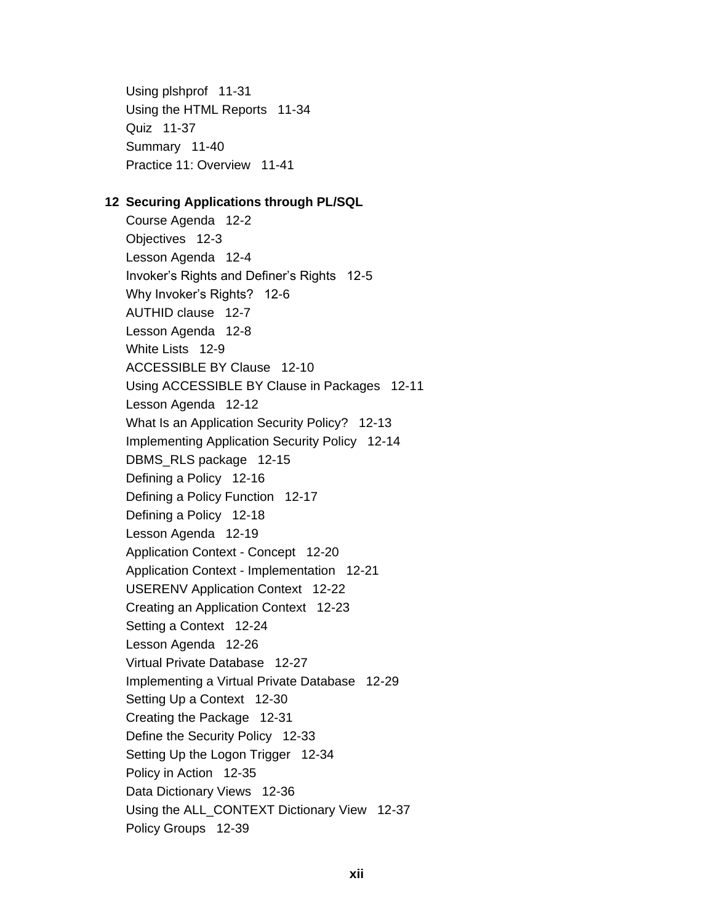Using plshprof 11-31 Using the HTML Reports 11-34 Quiz 11-37 Summary 11-40 Practice 11: Overview 11-41

## 12 Securing Applications through PL/SQL

Course Agenda 12-2 Objectives 12-3 Lesson Agenda 12-4 Invoker's Rights and Definer's Rights 12-5 Why Invoker's Rights? 12-6 AUTHID clause 12-7 Lesson Agenda 12-8 White Lists 12-9 ACCESSIBLE BY Clause 12-10 Using ACCESSIBLE BY Clause in Packages 12-11 Lesson Agenda 12-12 What Is an Application Security Policy? 12-13 Implementing Application Security Policy 12-14 DBMS\_RLS package 12-15 Defining a Policy 12-16 Defining a Policy Function 12-17 Defining a Policy 12-18 Lesson Agenda 12-19 Application Context - Concept 12-20 Application Context - Implementation 12-21 **USERENV Application Context 12-22** Creating an Application Context 12-23 Setting a Context 12-24 Lesson Agenda 12-26 Virtual Private Database 12-27 Implementing a Virtual Private Database 12-29 Setting Up a Context 12-30 Creating the Package 12-31 Define the Security Policy 12-33 Setting Up the Logon Trigger 12-34 Policy in Action 12-35 Data Dictionary Views 12-36 Using the ALL\_CONTEXT Dictionary View 12-37 Policy Groups 12-39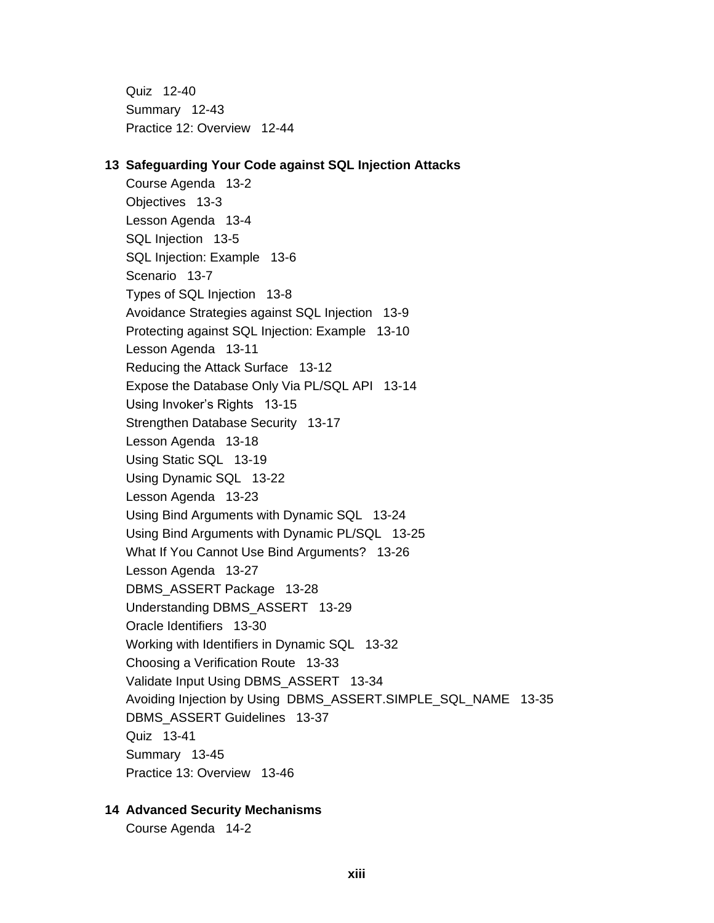Quiz 12-40 Summary 12-43 Practice 12: Overview 12-44

#### 13 Safeguarding Your Code against SQL Injection Attacks

Course Agenda 13-2 Objectives 13-3 Lesson Agenda 13-4 SQL Injection 13-5 SQL Injection: Example 13-6 Scenario 13-7 Types of SQL Injection 13-8 Avoidance Strategies against SQL Injection 13-9 Protecting against SQL Injection: Example 13-10 Lesson Agenda 13-11 Reducing the Attack Surface 13-12 Expose the Database Only Via PL/SQL API 13-14 Using Invoker's Rights 13-15 Strengthen Database Security 13-17 Lesson Agenda 13-18 Using Static SQL 13-19 Using Dynamic SQL 13-22 Lesson Agenda 13-23 Using Bind Arguments with Dynamic SQL 13-24 Using Bind Arguments with Dynamic PL/SQL 13-25 What If You Cannot Use Bind Arguments? 13-26 Lesson Agenda 13-27 DBMS ASSERT Package 13-28 Understanding DBMS ASSERT 13-29 Oracle Identifiers 13-30 Working with Identifiers in Dynamic SQL 13-32 Choosing a Verification Route 13-33 Validate Input Using DBMS ASSERT 13-34 Avoiding Injection by Using DBMS ASSERT. SIMPLE SQL NAME 13-35 DBMS ASSERT Guidelines 13-37 Quiz 13-41 Summary 13-45 Practice 13: Overview 13-46

# **14 Advanced Security Mechanisms**

Course Agenda 14-2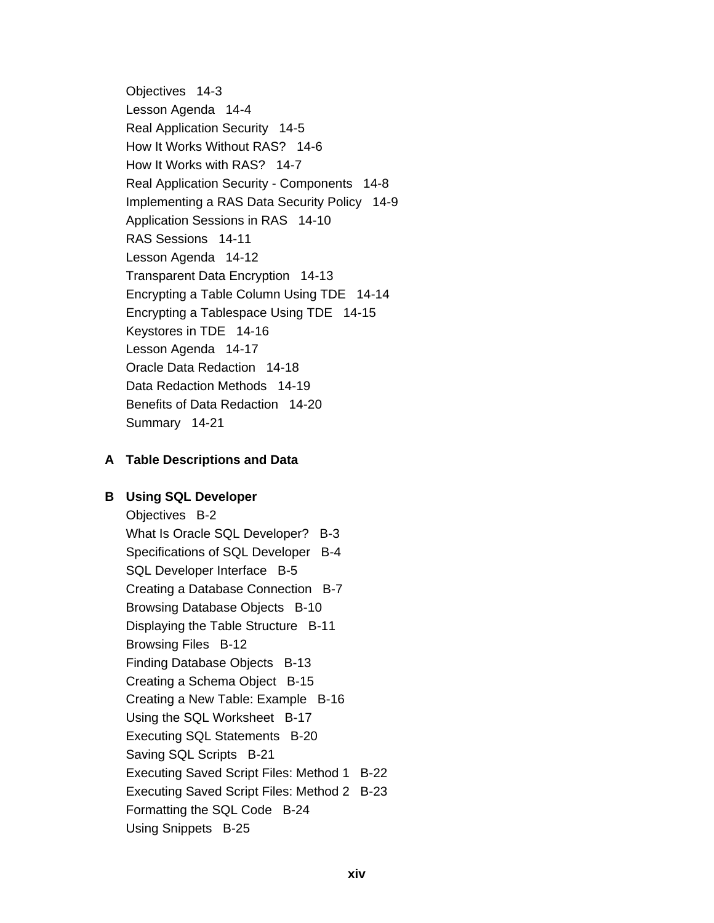Objectives 14-3 Lesson Agenda 14-4 Real Application Security 14-5 How It Works Without RAS? 14-6 How It Works with RAS? 14-7 Real Application Security - Components 14-8 Implementing a RAS Data Security Policy 14-9 Application Sessions in RAS 14-10 RAS Sessions 14-11 Lesson Agenda 14-12 Transparent Data Encryption 14-13 Encrypting a Table Column Using TDE 14-14 Encrypting a Tablespace Using TDE 14-15 Keystores in TDE 14-16 Lesson Agenda 14-17 Oracle Data Redaction 14-18 Data Redaction Methods 14-19 Benefits of Data Redaction 14-20 Summary 14-21

# **A** Table Descriptions and Data

# **B** Using SQL Developer

Objectives B-2 What Is Oracle SQL Developer? B-3 Specifications of SQL Developer B-4 SQL Developer Interface B-5 Creating a Database Connection B-7 Browsing Database Objects B-10 Displaying the Table Structure B-11 Browsing Files B-12 Finding Database Objects B-13 Creating a Schema Object B-15 Creating a New Table: Example B-16 Using the SQL Worksheet B-17 Executing SQL Statements B-20 Saving SQL Scripts B-21 Executing Saved Script Files: Method 1 B-22 Executing Saved Script Files: Method 2 B-23 Formatting the SQL Code B-24 Using Snippets B-25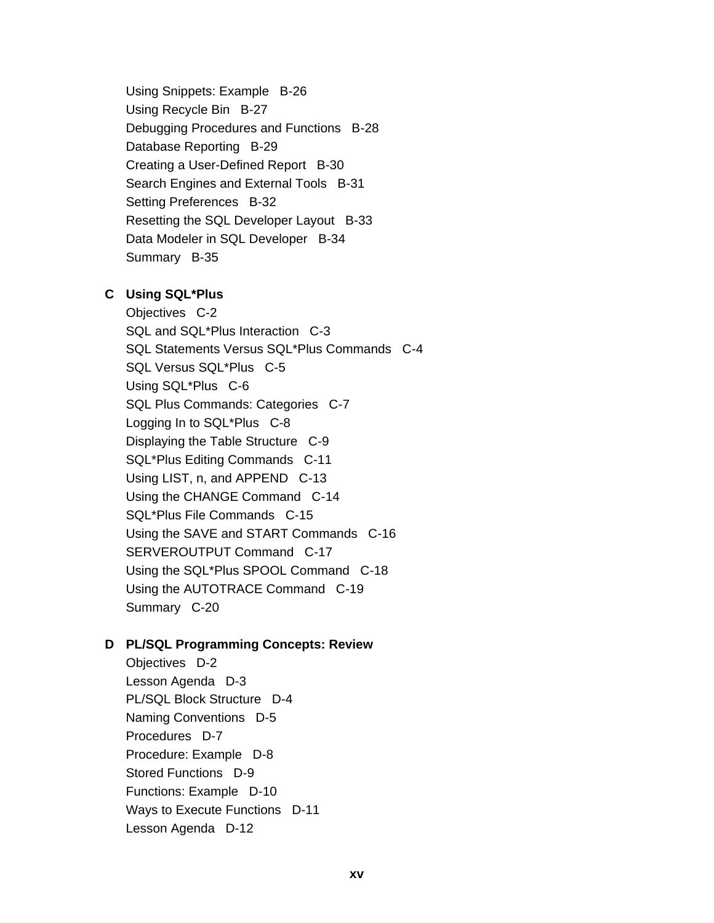Using Snippets: Example B-26 Using Recycle Bin B-27 Debugging Procedures and Functions B-28 Database Reporting B-29 Creating a User-Defined Report B-30 Search Engines and External Tools B-31 Setting Preferences B-32 Resetting the SQL Developer Layout B-33 Data Modeler in SQL Developer B-34 Summary B-35

# C Using SQL\*Plus

Objectives C-2 SQL and SQL\*Plus Interaction C-3 SQL Statements Versus SQL\*Plus Commands C-4 SQL Versus SQL\*Plus C-5 Using SQL\*Plus C-6 SQL Plus Commands: Categories C-7 Logging In to SQL\*Plus C-8 Displaying the Table Structure C-9 SQL\*Plus Editing Commands C-11 Using LIST, n, and APPEND C-13 Using the CHANGE Command C-14 SQL\*Plus File Commands C-15 Using the SAVE and START Commands C-16 SERVEROUTPUT Command C-17 Using the SQL\*Plus SPOOL Command C-18 Using the AUTOTRACE Command C-19 Summary C-20

# D PL/SQL Programming Concepts: Review

Objectives D-2 Lesson Agenda D-3 PL/SQL Block Structure D-4 Naming Conventions D-5 Procedures D-7 Procedure: Example D-8 Stored Functions D-9 Functions: Example D-10 Ways to Execute Functions D-11 Lesson Agenda D-12